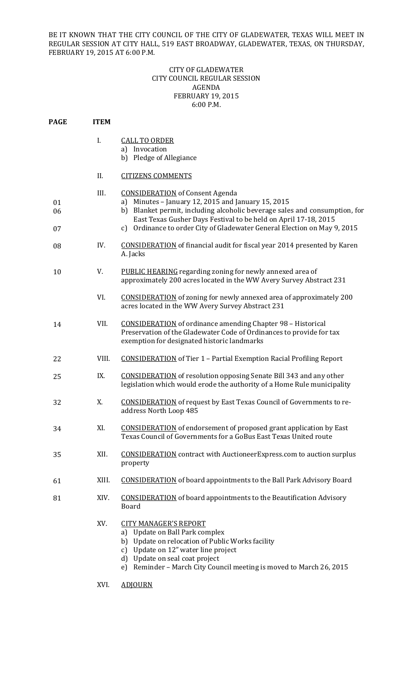BE IT KNOWN THAT THE CITY COUNCIL OF THE CITY OF GLADEWATER, TEXAS WILL MEET IN REGULAR SESSION AT CITY HALL, 519 EAST BROADWAY, GLADEWATER, TEXAS, ON THURSDAY, FEBRUARY 19, 2015 AT 6:00 P.M.

## CITY OF GLADEWATER CITY COUNCIL REGULAR SESSION AGENDA FEBRUARY 19, 2015 6:00 P.M.

| <b>PAGE</b>    | <b>ITEM</b> |                                                                                                                                                                                                                                                                                                                              |
|----------------|-------------|------------------------------------------------------------------------------------------------------------------------------------------------------------------------------------------------------------------------------------------------------------------------------------------------------------------------------|
|                | I.          | <b>CALL TO ORDER</b><br>a) Invocation<br>b) Pledge of Allegiance                                                                                                                                                                                                                                                             |
|                | II.         | <b>CITIZENS COMMENTS</b>                                                                                                                                                                                                                                                                                                     |
| 01<br>06<br>07 | III.        | <b>CONSIDERATION</b> of Consent Agenda<br>Minutes - January 12, 2015 and January 15, 2015<br>a)<br>b) Blanket permit, including alcoholic beverage sales and consumption, for<br>East Texas Gusher Days Festival to be held on April 17-18, 2015<br>c) Ordinance to order City of Gladewater General Election on May 9, 2015 |
| 08             | IV.         | <b>CONSIDERATION</b> of financial audit for fiscal year 2014 presented by Karen<br>A. Jacks                                                                                                                                                                                                                                  |
| 10             | V.          | PUBLIC HEARING regarding zoning for newly annexed area of<br>approximately 200 acres located in the WW Avery Survey Abstract 231                                                                                                                                                                                             |
|                | VI.         | <b>CONSIDERATION</b> of zoning for newly annexed area of approximately 200<br>acres located in the WW Avery Survey Abstract 231                                                                                                                                                                                              |
| 14             | VII.        | <b>CONSIDERATION</b> of ordinance amending Chapter 98 - Historical<br>Preservation of the Gladewater Code of Ordinances to provide for tax<br>exemption for designated historic landmarks                                                                                                                                    |
| 22             | VIII.       | <b>CONSIDERATION</b> of Tier 1 - Partial Exemption Racial Profiling Report                                                                                                                                                                                                                                                   |
| 25             | IX.         | <b>CONSIDERATION</b> of resolution opposing Senate Bill 343 and any other<br>legislation which would erode the authority of a Home Rule municipality                                                                                                                                                                         |
| 32             | X.          | <b>CONSIDERATION</b> of request by East Texas Council of Governments to re-<br>address North Loop 485                                                                                                                                                                                                                        |
| 34             | XI.         | <b>CONSIDERATION</b> of endorsement of proposed grant application by East<br>Texas Council of Governments for a GoBus East Texas United route                                                                                                                                                                                |
| 35             | XII.        | <b>CONSIDERATION</b> contract with AuctioneerExpress.com to auction surplus<br>property                                                                                                                                                                                                                                      |
| 61             | XIII.       | <b>CONSIDERATION</b> of board appointments to the Ball Park Advisory Board                                                                                                                                                                                                                                                   |
| 81             | XIV.        | <b>CONSIDERATION</b> of board appointments to the Beautification Advisory<br><b>Board</b>                                                                                                                                                                                                                                    |
|                | XV.         | <b>CITY MANAGER'S REPORT</b><br>Update on Ball Park complex<br>a)<br>Update on relocation of Public Works facility<br>b)<br>Update on 12" water line project<br>c)<br>Update on seal coat project<br>d)<br>Reminder - March City Council meeting is moved to March 26, 2015<br>e)                                            |
|                | XVI.        | <b>ADJOURN</b>                                                                                                                                                                                                                                                                                                               |